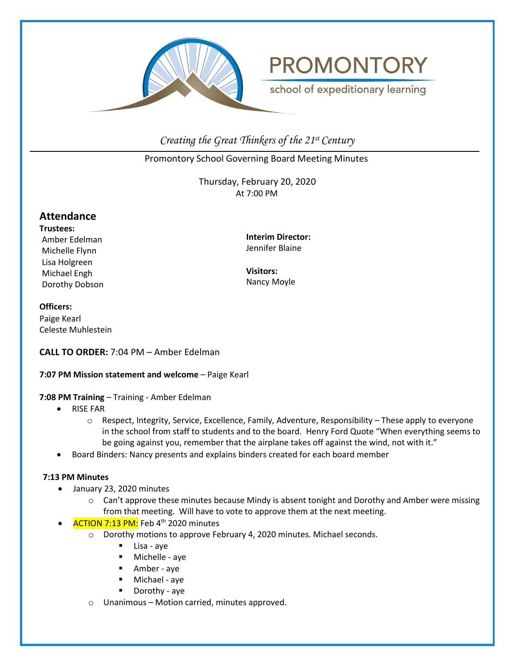



school of expeditionary learning

*Creating the Great Thinkers of the 21st Century*

Promontory School Governing Board Meeting Minutes

Thursday, February 20, 2020 At 7:00 PM

# **Attendance**

**Trustees:** Amber Edelman Michelle Flynn Lisa Holgreen Michael Engh Dorothy Dobson

**Interim Director:** Jennifer Blaine

**Visitors:** Nancy Moyle

#### **Officers:**

Paige Kearl Celeste Muhlestein

# **CALL TO ORDER:** 7:04 PM – Amber Edelman

# **7:07 PM Mission statement and welcome - Paige Kearl**

**7:08 PM Training** – Training - Amber Edelman

- RISE FAR
	- o Respect, Integrity, Service, Excellence, Family, Adventure, Responsibility These apply to everyone in the school from staff to students and to the board. Henry Ford Quote "When everything seems to be going against you, remember that the airplane takes off against the wind, not with it."
- Board Binders: Nancy presents and explains binders created for each board member

# **7:13 PM Minutes**

- January 23, 2020 minutes
	- $\circ$  Can't approve these minutes because Mindy is absent tonight and Dorothy and Amber were missing from that meeting. Will have to vote to approve them at the next meeting.
	- ACTION 7:13 PM: Feb 4<sup>th</sup> 2020 minutes
		- o Dorothy motions to approve February 4, 2020 minutes. Michael seconds.
			- Lisa aye
			- Michelle aye
			- Amber aye
			- Michael aye
			- Dorothy aye
		- o Unanimous Motion carried, minutes approved.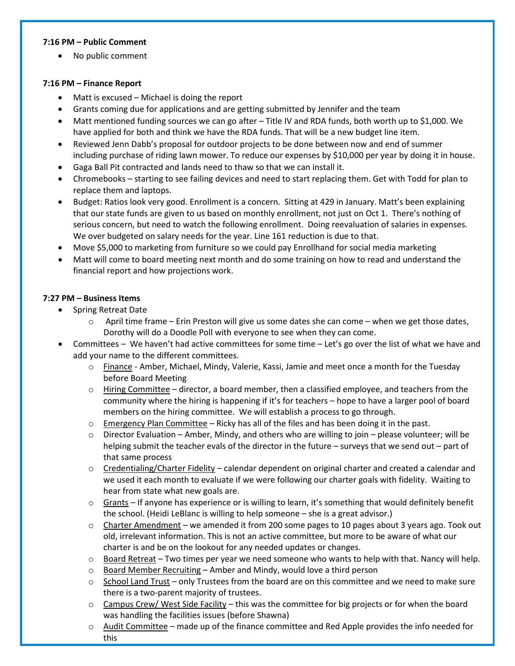#### **7:16 PM – Public Comment**

• No public comment

# **7:16 PM – Finance Report**

- Matt is excused Michael is doing the report
- Grants coming due for applications and are getting submitted by Jennifer and the team
- Matt mentioned funding sources we can go after Title IV and RDA funds, both worth up to \$1,000. We have applied for both and think we have the RDA funds. That will be a new budget line item.
- Reviewed Jenn Dabb's proposal for outdoor projects to be done between now and end of summer including purchase of riding lawn mower. To reduce our expenses by \$10,000 per year by doing it in house.
- Gaga Ball Pit contracted and lands need to thaw so that we can install it.
- Chromebooks starting to see failing devices and need to start replacing them. Get with Todd for plan to replace them and laptops.
- Budget: Ratios look very good. Enrollment is a concern. Sitting at 429 in January. Matt's been explaining that our state funds are given to us based on monthly enrollment, not just on Oct 1. There's nothing of serious concern, but need to watch the following enrollment. Doing reevaluation of salaries in expenses. We over budgeted on salary needs for the year. Line 161 reduction is due to that.
- Move \$5,000 to marketing from furniture so we could pay Enrollhand for social media marketing
- Matt will come to board meeting next month and do some training on how to read and understand the financial report and how projections work.

# **7:27 PM – Business Items**

- Spring Retreat Date
	- $\circ$  April time frame Erin Preston will give us some dates she can come when we get those dates, Dorothy will do a Doodle Poll with everyone to see when they can come.
- Committees We haven't had active committees for some time Let's go over the list of what we have and add your name to the different committees.
	- o Finance Amber, Michael, Mindy, Valerie, Kassi, Jamie and meet once a month for the Tuesday before Board Meeting
	- $\circ$  Hiring Committee director, a board member, then a classified employee, and teachers from the community where the hiring is happening if it's for teachers – hope to have a larger pool of board members on the hiring committee. We will establish a process to go through.
	- $\circ$  Emergency Plan Committee Ricky has all of the files and has been doing it in the past.
	- $\circ$  Director Evaluation Amber, Mindy, and others who are willing to join please volunteer; will be helping submit the teacher evals of the director in the future – surveys that we send out – part of that same process
	- $\circ$  Credentialing/Charter Fidelity calendar dependent on original charter and created a calendar and we used it each month to evaluate if we were following our charter goals with fidelity. Waiting to hear from state what new goals are.
	- o Grants If anyone has experience or is willing to learn, it's something that would definitely benefit the school. (Heidi LeBlanc is willing to help someone – she is a great advisor.)
	- $\circ$  Charter Amendment we amended it from 200 some pages to 10 pages about 3 years ago. Took out old, irrelevant information. This is not an active committee, but more to be aware of what our charter is and be on the lookout for any needed updates or changes.
	- $\circ$  Board Retreat Two times per year we need someone who wants to help with that. Nancy will help.
	- $\circ$  Board Member Recruiting Amber and Mindy, would love a third person
	- $\circ$  School Land Trust only Trustees from the board are on this committee and we need to make sure there is a two-parent majority of trustees.
	- $\circ$  Campus Crew/ West Side Facility this was the committee for big projects or for when the board was handling the facilities issues (before Shawna)
	- o Audit Committee made up of the finance committee and Red Apple provides the info needed for this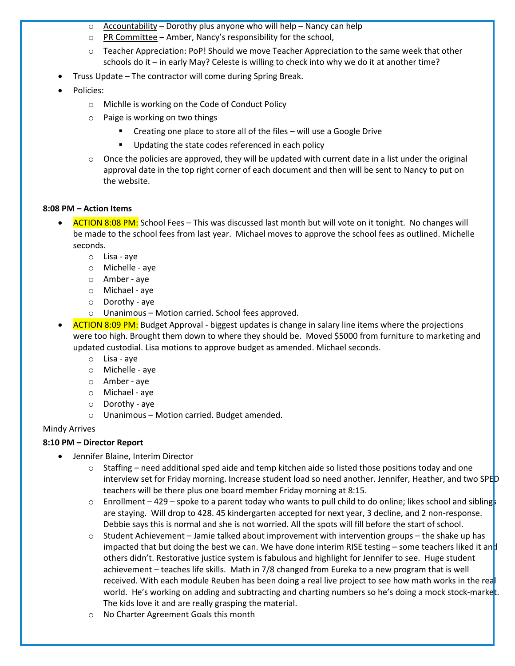- $\circ$  Accountability Dorothy plus anyone who will help Nancy can help
- $\circ$  PR Committee Amber, Nancy's responsibility for the school,
- $\circ$  Teacher Appreciation: PoP! Should we move Teacher Appreciation to the same week that other schools do it – in early May? Celeste is willing to check into why we do it at another time?
- Truss Update The contractor will come during Spring Break.
- Policies:
	- o Michlle is working on the Code of Conduct Policy
	- o Paige is working on two things
		- Creating one place to store all of the files will use a Google Drive
		- **Updating the state codes referenced in each policy**
	- $\circ$  Once the policies are approved, they will be updated with current date in a list under the original approval date in the top right corner of each document and then will be sent to Nancy to put on the website.

#### **8:08 PM – Action Items**

- ACTION 8:08 PM: School Fees This was discussed last month but will vote on it tonight. No changes will be made to the school fees from last year. Michael moves to approve the school fees as outlined. Michelle seconds.
	- o Lisa aye
	- o Michelle aye
	- o Amber aye
	- o Michael aye
	- o Dorothy aye
	- o Unanimous Motion carried. School fees approved.

• ACTION 8:09 PM: Budget Approval - biggest updates is change in salary line items where the projections were too high. Brought them down to where they should be. Moved \$5000 from furniture to marketing and updated custodial. Lisa motions to approve budget as amended. Michael seconds.

- o Lisa aye
- o Michelle aye
- o Amber aye
- o Michael aye
- o Dorothy aye
- o Unanimous Motion carried. Budget amended.

# Mindy Arrives

# **8:10 PM – Director Report**

- Jennifer Blaine, Interim Director
	- $\circ$  Staffing need additional sped aide and temp kitchen aide so listed those positions today and one interview set for Friday morning. Increase student load so need another. Jennifer, Heather, and two SPED teachers will be there plus one board member Friday morning at 8:15.
	- $\circ$  Enrollment 429 spoke to a parent today who wants to pull child to do online; likes school and siblings are staying. Will drop to 428. 45 kindergarten accepted for next year, 3 decline, and 2 non-response. Debbie says this is normal and she is not worried. All the spots will fill before the start of school.
	- $\circ$  Student Achievement Jamie talked about improvement with intervention groups the shake up has impacted that but doing the best we can. We have done interim RISE testing – some teachers liked it and others didn't. Restorative justice system is fabulous and highlight for Jennifer to see. Huge student achievement – teaches life skills. Math in 7/8 changed from Eureka to a new program that is well received. With each module Reuben has been doing a real live project to see how math works in the real world. He's working on adding and subtracting and charting numbers so he's doing a mock stock-market. The kids love it and are really grasping the material.
	- o No Charter Agreement Goals this month